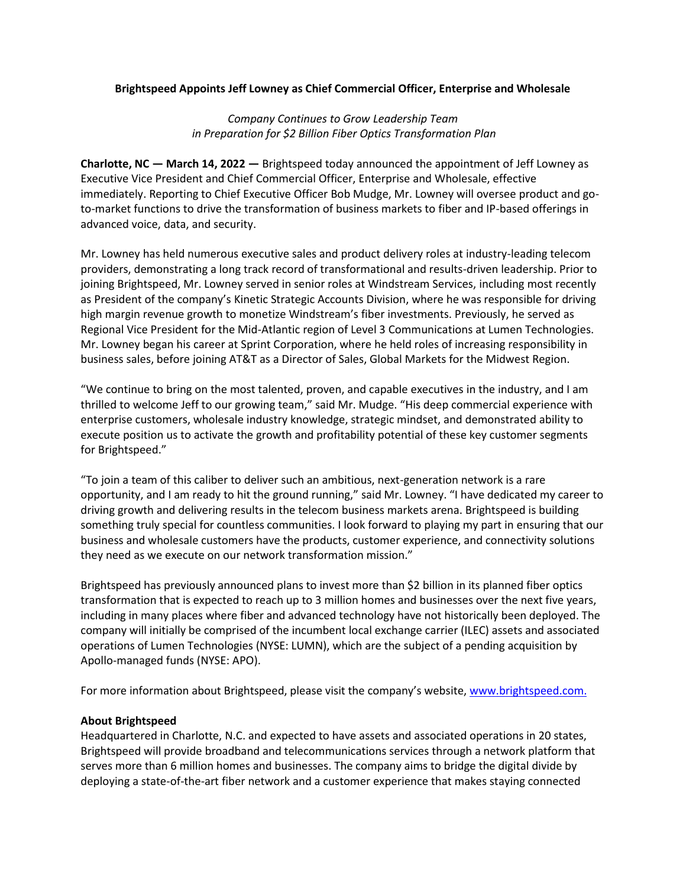## **Brightspeed Appoints Jeff Lowney as Chief Commercial Officer, Enterprise and Wholesale**

*Company Continues to Grow Leadership Team in Preparation for \$2 Billion Fiber Optics Transformation Plan*

**Charlotte, NC — March 14, 2022 —** Brightspeed today announced the appointment of Jeff Lowney as Executive Vice President and Chief Commercial Officer, Enterprise and Wholesale, effective immediately. Reporting to Chief Executive Officer Bob Mudge, Mr. Lowney will oversee product and goto-market functions to drive the transformation of business markets to fiber and IP-based offerings in advanced voice, data, and security.

Mr. Lowney has held numerous executive sales and product delivery roles at industry-leading telecom providers, demonstrating a long track record of transformational and results-driven leadership. Prior to joining Brightspeed, Mr. Lowney served in senior roles at Windstream Services, including most recently as President of the company's Kinetic Strategic Accounts Division, where he was responsible for driving high margin revenue growth to monetize Windstream's fiber investments. Previously, he served as Regional Vice President for the Mid-Atlantic region of Level 3 Communications at Lumen Technologies. Mr. Lowney began his career at Sprint Corporation, where he held roles of increasing responsibility in business sales, before joining AT&T as a Director of Sales, Global Markets for the Midwest Region.

"We continue to bring on the most talented, proven, and capable executives in the industry, and I am thrilled to welcome Jeff to our growing team," said Mr. Mudge. "His deep commercial experience with enterprise customers, wholesale industry knowledge, strategic mindset, and demonstrated ability to execute position us to activate the growth and profitability potential of these key customer segments for Brightspeed."

"To join a team of this caliber to deliver such an ambitious, next-generation network is a rare opportunity, and I am ready to hit the ground running," said Mr. Lowney. "I have dedicated my career to driving growth and delivering results in the telecom business markets arena. Brightspeed is building something truly special for countless communities. I look forward to playing my part in ensuring that our business and wholesale customers have the products, customer experience, and connectivity solutions they need as we execute on our network transformation mission."

Brightspeed has previously announced plans to invest more than \$2 billion in its planned fiber optics transformation that is expected to reach up to 3 million homes and businesses over the next five years, including in many places where fiber and advanced technology have not historically been deployed. The company will initially be comprised of the incumbent local exchange carrier (ILEC) assets and associated operations of Lumen Technologies (NYSE: LUMN), which are the subject of a pending acquisition by Apollo-managed funds (NYSE: APO).

For more information about Brightspeed, please visit the company's website, [www.brightspeed.com.](http://www.brightspeed.com/)

## **About Brightspeed**

Headquartered in Charlotte, N.C. and expected to have assets and associated operations in 20 states, Brightspeed will provide broadband and telecommunications services through a network platform that serves more than 6 million homes and businesses. The company aims to bridge the digital divide by deploying a state-of-the-art fiber network and a customer experience that makes staying connected